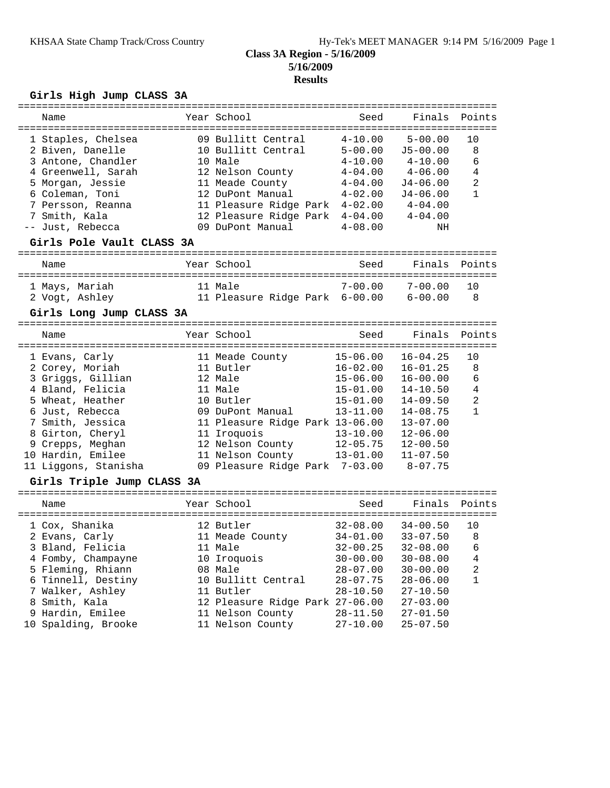## **Class 3A Region - 5/16/2009 5/16/2009 Results**

## **Girls High Jump CLASS 3A**

| Name                                                                                                                                                                                                                                                     | Year School                                                                                                                                                                                                     | Seed                                                                                                                                         | Finals                                                                                                                                                                      | Points                                                           |
|----------------------------------------------------------------------------------------------------------------------------------------------------------------------------------------------------------------------------------------------------------|-----------------------------------------------------------------------------------------------------------------------------------------------------------------------------------------------------------------|----------------------------------------------------------------------------------------------------------------------------------------------|-----------------------------------------------------------------------------------------------------------------------------------------------------------------------------|------------------------------------------------------------------|
| 1 Staples, Chelsea<br>2 Biven, Danelle<br>3 Antone, Chandler<br>4 Greenwell, Sarah<br>5 Morgan, Jessie<br>6 Coleman, Toni<br>7 Persson, Reanna<br>7 Smith, Kala<br>-- Just, Rebecca<br>Girls Pole Vault CLASS 3A                                         | 09 Bullitt Central<br>10 Bullitt Central<br>10 Male<br>12 Nelson County<br>11 Meade County<br>12 DuPont Manual<br>11 Pleasure Ridge Park<br>12 Pleasure Ridge Park 4-04.00<br>09 DuPont Manual                  | $4 - 10.00$<br>$5 - 00.00$<br>$4 - 10.00$<br>$4 - 04.00$<br>$4 - 04.00$<br>$4 - 02.00$<br>$4 - 02.00$<br>$4 - 08.00$                         | $5 - 00.00$<br>$J5 - 00.00$<br>$4 - 10.00$<br>$4 - 06.00$<br>$J4 - 06.00$<br>$J4 - 06.00$<br>$4 - 04.00$<br>$4 - 04.00$<br>NH                                               | 10<br>$\,8\,$<br>6<br>4<br>$\overline{a}$<br>$\mathbf{1}$        |
| Name                                                                                                                                                                                                                                                     | Year School                                                                                                                                                                                                     | Seed                                                                                                                                         | Finals                                                                                                                                                                      | Points                                                           |
| 1 Mays, Mariah<br>2 Vogt, Ashley<br>Girls Long Jump CLASS 3A                                                                                                                                                                                             | 11 Male<br>11 Pleasure Ridge Park 6-00.00                                                                                                                                                                       | $7 - 00.00$                                                                                                                                  | 7-00.00<br>$6 - 00.00$                                                                                                                                                      | 10<br>8                                                          |
| Name                                                                                                                                                                                                                                                     | Year School                                                                                                                                                                                                     | Seed                                                                                                                                         | Finals                                                                                                                                                                      | Points                                                           |
| 1 Evans, Carly<br>2 Corey, Moriah<br>3 Griggs, Gillian<br>4 Bland, Felicia<br>5 Wheat, Heather<br>6 Just, Rebecca<br>7 Smith, Jessica<br>8 Girton, Cheryl<br>9 Crepps, Meghan<br>10 Hardin, Emilee<br>11 Liggons, Stanisha<br>Girls Triple Jump CLASS 3A | 11 Meade County<br>11 Butler<br>12 Male<br>11 Male<br>10 Butler<br>09 DuPont Manual<br>11 Pleasure Ridge Park 13-06.00<br>11 Iroquois<br>12 Nelson County<br>11 Nelson County<br>09 Pleasure Ridge Park 7-03.00 | $15 - 06.00$<br>$16 - 02.00$<br>$15 - 06.00$<br>$15 - 01.00$<br>$15 - 01.00$<br>$13 - 11.00$<br>$13 - 10.00$<br>$12 - 05.75$<br>$13 - 01.00$ | $16 - 04.25$<br>$16 - 01.25$<br>$16 - 00.00$<br>$14 - 10.50$<br>$14 - 09.50$<br>$14 - 08.75$<br>$13 - 07.00$<br>$12 - 06.00$<br>$12 - 00.50$<br>$11 - 07.50$<br>$8 - 07.75$ | 10<br>8<br>6<br>$\overline{4}$<br>$\overline{a}$<br>$\mathbf{1}$ |
| Name                                                                                                                                                                                                                                                     | Year School                                                                                                                                                                                                     | Seed                                                                                                                                         | Finals                                                                                                                                                                      | Points                                                           |
| 1 Cox, Shanika<br>2 Evans, Carly<br>3 Bland, Felicia<br>4 Fomby, Champayne<br>5 Fleming, Rhiann<br>6 Tinnell, Destiny<br>7 Walker, Ashley<br>8 Smith, Kala<br>9 Hardin, Emilee<br>10 Spalding, Brooke                                                    | 12 Butler<br>11 Meade County<br>11 Male<br>10 Iroquois<br>08 Male<br>10 Bullitt Central<br>11 Butler<br>12 Pleasure Ridge Park 27-06.00<br>11 Nelson County<br>11 Nelson County                                 | $32 - 08.00$<br>$34 - 01.00$<br>$32 - 00.25$<br>$30 - 00.00$<br>$28 - 07.00$<br>$28 - 07.75$<br>$28 - 10.50$<br>$28 - 11.50$<br>$27 - 10.00$ | $34 - 00.50$<br>$33 - 07.50$<br>$32 - 08.00$ 6<br>$30 - 08.00$<br>$30 - 00.00$<br>$28 - 06.00$<br>$27 - 10.50$<br>$27 - 03.00$<br>$27 - 01.50$<br>$25 - 07.50$              | 10<br>8<br>4<br>2<br>1                                           |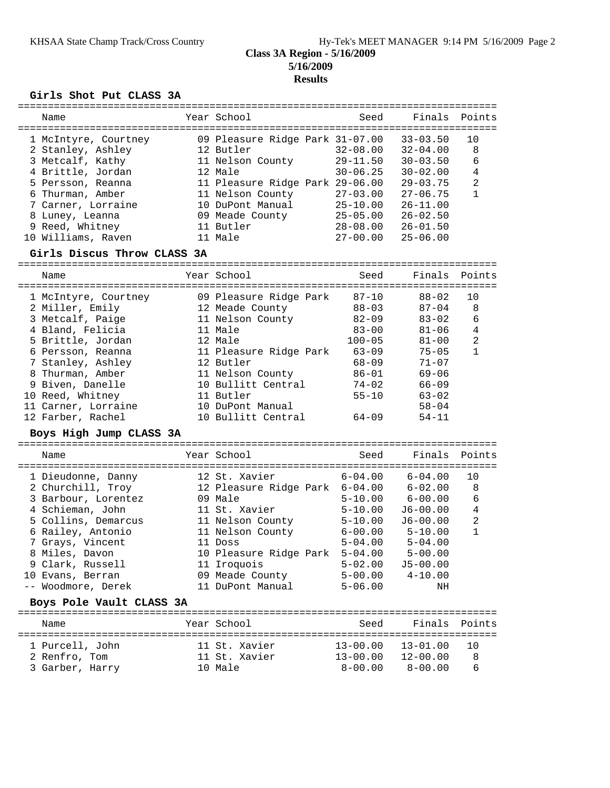#### **Class 3A Region - 5/16/2009 5/16/2009 Results**

#### **Girls Shot Put CLASS 3A**

| Name                                                                                                                                                                                                                                                                                              | Year School                                                                                                                                                                                                                                                 | Seed                                                                                                                                                       | Finals                                                                                                                                                                           | Points                                                        |
|---------------------------------------------------------------------------------------------------------------------------------------------------------------------------------------------------------------------------------------------------------------------------------------------------|-------------------------------------------------------------------------------------------------------------------------------------------------------------------------------------------------------------------------------------------------------------|------------------------------------------------------------------------------------------------------------------------------------------------------------|----------------------------------------------------------------------------------------------------------------------------------------------------------------------------------|---------------------------------------------------------------|
| 1 McIntyre, Courtney<br>2 Stanley, Ashley<br>3 Metcalf, Kathy<br>4 Brittle, Jordan<br>5 Persson, Reanna<br>6 Thurman, Amber<br>7 Carner, Lorraine<br>8 Luney, Leanna<br>9 Reed, Whitney<br>10 Williams, Raven<br>Girls Discus Throw CLASS 3A                                                      | 09 Pleasure Ridge Park 31-07.00<br>12 Butler<br>11 Nelson County<br>12 Male<br>11 Pleasure Ridge Park 29-06.00<br>11 Nelson County<br>10 DuPont Manual<br>09 Meade County<br>11 Butler<br>11 Male                                                           | $32 - 08.00$<br>$29 - 11.50$<br>$30 - 06.25$<br>$27 - 03.00$<br>$25 - 10.00$<br>$25 - 05.00$<br>28-08.00<br>$27 - 00.00$                                   | $33 - 03.50$<br>$32 - 04.00$<br>$30 - 03.50$<br>$30 - 02.00$<br>$29 - 03.75$<br>$27 - 06.75$<br>$26 - 11.00$<br>$26 - 02.50$<br>$26 - 01.50$<br>$25 - 06.00$                     | 10<br>8<br>6<br>$\overline{4}$<br>2<br>$\mathbf{1}$           |
| Name                                                                                                                                                                                                                                                                                              | Year School                                                                                                                                                                                                                                                 | Seed                                                                                                                                                       |                                                                                                                                                                                  | Finals Points                                                 |
| 1 McIntyre, Courtney<br>2 Miller, Emily<br>3 Metcalf, Paige<br>4 Bland, Felicia<br>5 Brittle, Jordan<br>6 Persson, Reanna<br>7 Stanley, Ashley<br>8 Thurman, Amber<br>9 Biven, Danelle<br>10 Reed, Whitney<br>11 Carner, Lorraine<br>12 Farber, Rachel<br>Boys High Jump CLASS 3A                 | 09 Pleasure Ridge Park<br>12 Meade County<br>11 Nelson County<br>11 Male<br>12 Male<br>11 Pleasure Ridge Park<br>12 Butler<br>11 Nelson County<br>10 Bullitt Central<br>11 Butler<br>10 DuPont Manual<br>10 Bullitt Central                                 | $87 - 10$<br>$88 - 03$<br>$82 - 09$<br>$83 - 00$<br>$100 - 05$<br>$63 - 09$<br>$68 - 09$<br>$86 - 01$<br>$74 - 02$<br>$55 - 10$<br>$64 - 09$               | $88 - 02$<br>$87 - 04$<br>$83 - 02$<br>$81 - 06$<br>$81 - 00$<br>$75 - 05$<br>$71 - 07$<br>$69 - 06$<br>$66 - 09$<br>$63 - 02$<br>$58 - 04$<br>$54 - 11$                         | 10<br>8<br>6<br>4<br>$\overline{a}$<br>$\mathbf{1}$           |
| Name                                                                                                                                                                                                                                                                                              | Year School                                                                                                                                                                                                                                                 | Seed                                                                                                                                                       | Finals                                                                                                                                                                           | Points                                                        |
| 1 Dieudonne, Danny<br>2 Churchill, Troy<br>3 Barbour, Lorentez<br>4 Schieman, John<br>5 Collins, Demarcus<br>6 Railey, Antonio<br>7 Grays, Vincent<br>8 Miles, Davon<br>9 Clark, Russell<br>10 Evans, Berran<br>-- Woodmore, Derek<br>Boys Pole Vault CLASS 3A<br>-------------<br>======<br>Name | 12 St. Xavier<br>12 Pleasure Ridge Park 6-04.00<br>09 Male<br>11 St. Xavier<br>11 Nelson County<br>11 Nelson County<br>11 Doss<br>10 Pleasure Ridge Park<br>11 Iroquois<br>09 Meade County<br>11 DuPont Manual<br>==========================<br>Year School | $6 - 04.00$<br>$5 - 10.00$<br>$5 - 10.00$<br>$5 - 10.00$<br>$6 - 00.00$<br>$5 - 04.00$<br>$5 - 04.00$<br>$5 - 02.00$<br>$5 - 00.00$<br>$5 - 06.00$<br>Seed | $6 - 04.00$<br>$6 - 02.00$<br>$6 - 00.00$<br>$J6 - 00.00$<br>$J6 - 00.00$<br>$5 - 10.00$<br>$5 - 04.00$<br>$5 - 00.00$<br>$J5 - 00.00$<br>$4 - 10.00$<br>ΝH<br>-------<br>Finals | 10<br>8<br>6<br>4<br>$\overline{a}$<br>$\mathbf{1}$<br>Points |
| 1 Purcell, John<br>2 Renfro, Tom<br>3 Garber, Harry                                                                                                                                                                                                                                               | 11 St. Xavier<br>11 St. Xavier<br>10 Male                                                                                                                                                                                                                   | $13 - 00.00$<br>$13 - 00.00$<br>$8 - 00.00$                                                                                                                | ===============================<br>$13 - 01.00$<br>$12 - 00.00$<br>$8 - 00.00$                                                                                                   | 10<br>8<br>6                                                  |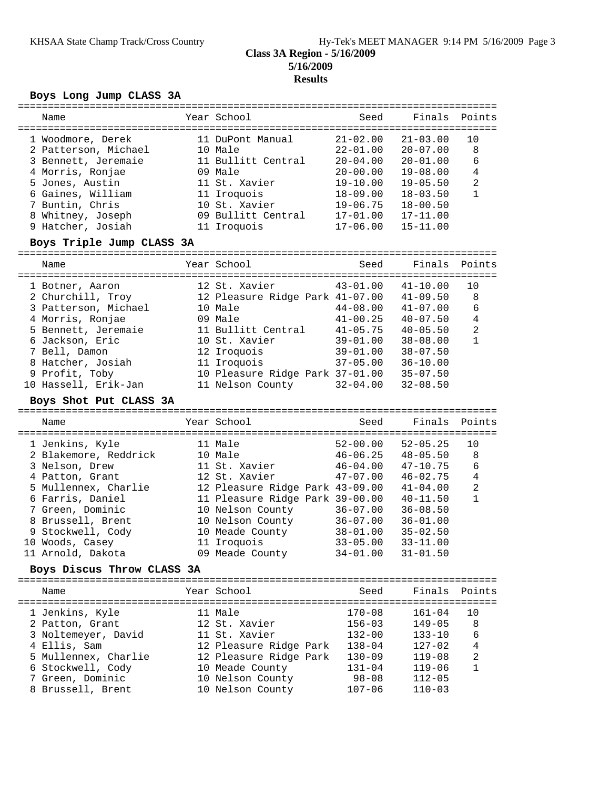#### **Class 3A Region - 5/16/2009 5/16/2009 Results**

## **Boys Long Jump CLASS 3A**

|                                                 | ========================             |  | ===================             |              | ================================== |                |
|-------------------------------------------------|--------------------------------------|--|---------------------------------|--------------|------------------------------------|----------------|
|                                                 | Name                                 |  | Year School                     | Seed         | Finals                             | Points         |
|                                                 | 1 Woodmore, Derek                    |  | 11 DuPont Manual                | $21 - 02.00$ | $21 - 03.00$                       | 10             |
|                                                 | 2 Patterson, Michael                 |  | 10 Male                         | $22 - 01.00$ | $20 - 07.00$                       | 8              |
|                                                 | 3 Bennett, Jeremaie                  |  | 11 Bullitt Central              | $20 - 04.00$ | $20 - 01.00$                       | 6              |
|                                                 | 4 Morris, Ronjae                     |  | 09 Male                         | $20 - 00.00$ | $19 - 08.00$                       | $\overline{4}$ |
|                                                 | 5 Jones, Austin                      |  | 11 St. Xavier                   | $19 - 10.00$ | $19 - 05.50$                       | $\overline{2}$ |
|                                                 | 6 Gaines, William                    |  | 11 Iroquois                     | $18 - 09.00$ | $18 - 03.50$                       | $\mathbf{1}$   |
|                                                 | 7 Buntin, Chris                      |  | 10 St. Xavier                   | $19 - 06.75$ | $18 - 00.50$                       |                |
|                                                 | 8 Whitney, Joseph                    |  | 09 Bullitt Central              | $17 - 01.00$ | $17 - 11.00$                       |                |
|                                                 | 9 Hatcher, Josiah                    |  | 11 Iroquois                     | $17 - 06.00$ | $15 - 11.00$                       |                |
|                                                 | Boys Triple Jump CLASS 3A            |  |                                 |              |                                    |                |
|                                                 |                                      |  |                                 |              |                                    |                |
|                                                 | Name                                 |  | Year School                     | Seed         | Finals                             | Points         |
|                                                 |                                      |  |                                 |              |                                    |                |
|                                                 | 1 Botner, Aaron                      |  | 12 St. Xavier                   | $43 - 01.00$ | $41 - 10.00$                       | 10             |
|                                                 | 2 Churchill, Troy                    |  | 12 Pleasure Ridge Park 41-07.00 |              | $41 - 09.50$                       | 8              |
|                                                 | 3 Patterson, Michael                 |  | 10 Male                         | $44 - 08.00$ | $41 - 07.00$                       | 6              |
|                                                 | 4 Morris, Ronjae                     |  | 09 Male                         | $41 - 00.25$ | $40 - 07.50$                       | $\overline{4}$ |
|                                                 | 5 Bennett, Jeremaie                  |  | 11 Bullitt Central              | $41 - 05.75$ | $40 - 05.50$                       | $\overline{2}$ |
|                                                 | 6 Jackson, Eric                      |  | 10 St. Xavier                   | 39-01.00     | $38 - 08.00$                       | $\mathbf{1}$   |
|                                                 | 7 Bell, Damon                        |  | 12 Iroquois                     | $39 - 01.00$ | $38 - 07.50$                       |                |
|                                                 | 8 Hatcher, Josiah                    |  | $37 - 05.00$<br>11 Iroquois     |              | $36 - 10.00$                       |                |
|                                                 | 9 Profit, Toby                       |  | 10 Pleasure Ridge Park 37-01.00 |              | $35 - 07.50$                       |                |
|                                                 | 10 Hassell, Erik-Jan                 |  | 11 Nelson County                | $32 - 04.00$ | $32 - 08.50$                       |                |
|                                                 | Boys Shot Put CLASS 3A               |  |                                 |              |                                    |                |
|                                                 | Name                                 |  | Year School                     | Seed         | Finals                             | Points         |
|                                                 |                                      |  |                                 |              |                                    |                |
|                                                 | 1 Jenkins, Kyle                      |  | 11 Male                         | $52 - 00.00$ | $52 - 05.25$                       | 10             |
|                                                 | 2 Blakemore, Reddrick                |  | 10 Male                         | $46 - 06.25$ | $48 - 05.50$                       | 8              |
|                                                 | 3 Nelson, Drew                       |  | 11 St. Xavier                   | $46 - 04.00$ | $47 - 10.75$                       | 6              |
|                                                 | 4 Patton, Grant                      |  | 12 St. Xavier                   | $47 - 07.00$ | $46 - 02.75$                       | $\overline{4}$ |
|                                                 | 5 Mullennex, Charlie                 |  | 12 Pleasure Ridge Park 43-09.00 |              | $41 - 04.00$                       | $\overline{a}$ |
|                                                 | 6 Farris, Daniel                     |  | 11 Pleasure Ridge Park 39-00.00 |              | $40 - 11.50$                       | $\mathbf{1}$   |
|                                                 | 7 Green, Dominic                     |  | 10 Nelson County                | $36 - 07.00$ | $36 - 08.50$                       |                |
|                                                 | 8 Brussell, Brent                    |  | 10 Nelson County                | $36 - 07.00$ | $36 - 01.00$                       |                |
|                                                 |                                      |  |                                 |              | $35 - 02.50$                       |                |
|                                                 | 9 Stockwell, Cody                    |  | 10 Meade County                 | $38 - 01.00$ | $33 - 11.00$                       |                |
|                                                 | 10 Woods, Casey<br>11 Arnold, Dakota |  | 11 Iroquois                     | $33 - 05.00$ | $31 - 01.50$                       |                |
|                                                 |                                      |  | 09 Meade County                 | $34 - 01.00$ |                                    |                |
| Boys Discus Throw CLASS 3A<br>================= |                                      |  |                                 |              |                                    |                |
|                                                 | Name                                 |  | Year School                     | Seed         | Finals                             | Points         |
|                                                 | 1 Jenkins, Kyle                      |  | 11 Male                         | $170 - 08$   | $161 - 04$                         | 10             |
|                                                 | 2 Patton, Grant                      |  | 12 St. Xavier                   | $156 - 03$   | $149 - 05$                         | 8              |
|                                                 | 3 Noltemeyer, David                  |  | 11 St. Xavier                   | $132 - 00$   | $133 - 10$                         | 6              |
|                                                 | 4 Ellis, Sam                         |  | 12 Pleasure Ridge Park          | $138 - 04$   | $127 - 02$                         | $\overline{4}$ |
|                                                 | 5 Mullennex, Charlie                 |  | 12 Pleasure Ridge Park          | $130 - 09$   | $119 - 08$                         | 2              |
|                                                 | 6 Stockwell, Cody                    |  | 10 Meade County                 | $131 - 04$   | $119 - 06$                         | $\mathbf{1}$   |
|                                                 | 7 Green, Dominic                     |  | 10 Nelson County                | $98 - 08$    | $112 - 05$                         |                |
|                                                 | 8 Brussell, Brent                    |  | 10 Nelson County                | $107 - 06$   | $110 - 03$                         |                |
|                                                 |                                      |  |                                 |              |                                    |                |